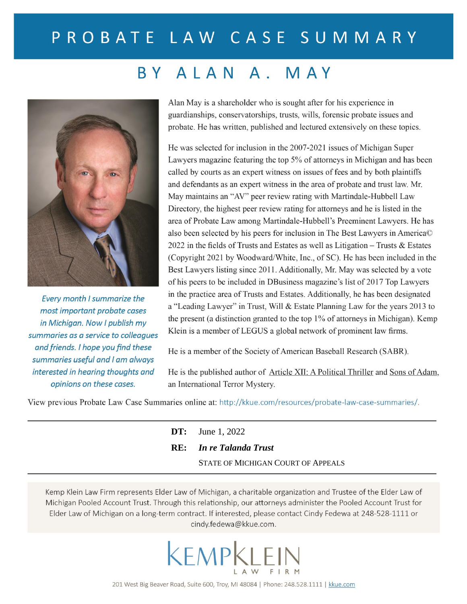# PROBATE LAW CASE SUMMARY

## BY ALAN A. MAY



Every month I summarize the most important probate cases in Michigan. Now I publish my summaries as a service to colleagues and friends. I hope you find these summaries useful and I am always interested in hearing thoughts and opinions on these cases.

Alan May is a shareholder who is sought after for his experience in guardianships, conservatorships, trusts, wills, forensic probate issues and probate. He has written, published and lectured extensively on these topics.

He was selected for inclusion in the 2007-2021 issues of Michigan Super Lawyers magazine featuring the top 5% of attorneys in Michigan and has been called by courts as an expert witness on issues of fees and by both plaintiffs and defendants as an expert witness in the area of probate and trust law. Mr. May maintains an "AV" peer review rating with Martindale-Hubbell Law Directory, the highest peer review rating for attorneys and he is listed in the area of Probate Law among Martindale-Hubbell's Preeminent Lawyers. He has also been selected by his peers for inclusion in The Best Lawyers in America© 2022 in the fields of Trusts and Estates as well as Litigation  $-$  Trusts & Estates (Copyright 2021 by Woodward/White, Inc., of SC). He has been included in the Best Lawyers listing since 2011. Additionally, Mr. May was selected by a vote of his peers to be included in DBusiness magazine's list of 2017 Top Lawyers in the practice area of Trusts and Estates. Additionally, he has been designated a "Leading Lawyer" in Trust, Will & Estate Planning Law for the years 2013 to the present (a distinction granted to the top 1% of attorneys in Michigan). Kemp Klein is a member of LEGUS a global network of prominent law firms.

He is a member of the Society of American Baseball Research (SABR).

He is the published author of Article XII: A Political Thriller and Sons of Adam, an International Terror Mystery.

View previous Probate Law Case Summaries online at: http://kkue.com/resources/probate-law-case-summaries/.

| <b>DT:</b> June 1, 2022            |  |
|------------------------------------|--|
| <b>RE:</b> In re Talanda Trust     |  |
| STATE OF MICHIGAN COURT OF APPEALS |  |

Kemp Klein Law Firm represents Elder Law of Michigan, a charitable organization and Trustee of the Elder Law of Michigan Pooled Account Trust. Through this relationship, our attorneys administer the Pooled Account Trust for Elder Law of Michigan on a long-term contract. If interested, please contact Cindy Fedewa at 248-528-1111 or cindy.fedewa@kkue.com.

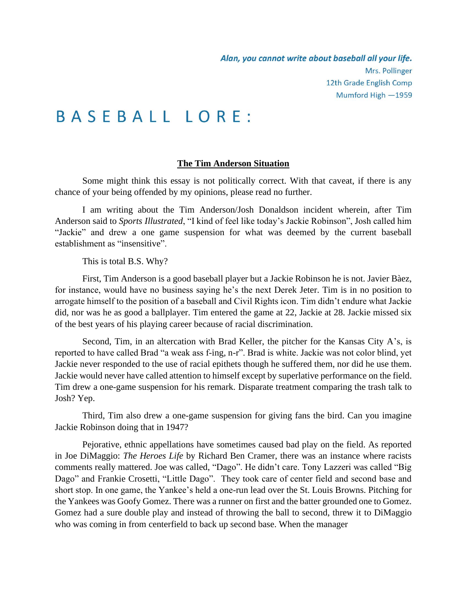## **BASEBALL LORE:**

### **The Tim Anderson Situation**

Some might think this essay is not politically correct. With that caveat, if there is any chance of your being offended by my opinions, please read no further.

I am writing about the Tim Anderson/Josh Donaldson incident wherein, after Tim Anderson said to *Sports Illustrated*, "I kind of feel like today's Jackie Robinson", Josh called him "Jackie" and drew a one game suspension for what was deemed by the current baseball establishment as "insensitive".

This is total B.S. Why?

First, Tim Anderson is a good baseball player but a Jackie Robinson he is not. Javier Bàez, for instance, would have no business saying he's the next Derek Jeter. Tim is in no position to arrogate himself to the position of a baseball and Civil Rights icon. Tim didn't endure what Jackie did, nor was he as good a ballplayer. Tim entered the game at 22, Jackie at 28. Jackie missed six of the best years of his playing career because of racial discrimination.

Second, Tim, in an altercation with Brad Keller, the pitcher for the Kansas City A's, is reported to have called Brad "a weak ass f-ing, n-r". Brad is white. Jackie was not color blind, yet Jackie never responded to the use of racial epithets though he suffered them, nor did he use them. Jackie would never have called attention to himself except by superlative performance on the field. Tim drew a one-game suspension for his remark. Disparate treatment comparing the trash talk to Josh? Yep.

Third, Tim also drew a one-game suspension for giving fans the bird. Can you imagine Jackie Robinson doing that in 1947?

Pejorative, ethnic appellations have sometimes caused bad play on the field. As reported in Joe DiMaggio: *The Heroes Life* by Richard Ben Cramer, there was an instance where racists comments really mattered. Joe was called, "Dago". He didn't care. Tony Lazzeri was called "Big Dago" and Frankie Crosetti, "Little Dago". They took care of center field and second base and short stop. In one game, the Yankee's held a one-run lead over the St. Louis Browns. Pitching for the Yankees was Goofy Gomez. There was a runner on first and the batter grounded one to Gomez. Gomez had a sure double play and instead of throwing the ball to second, threw it to DiMaggio who was coming in from centerfield to back up second base. When the manager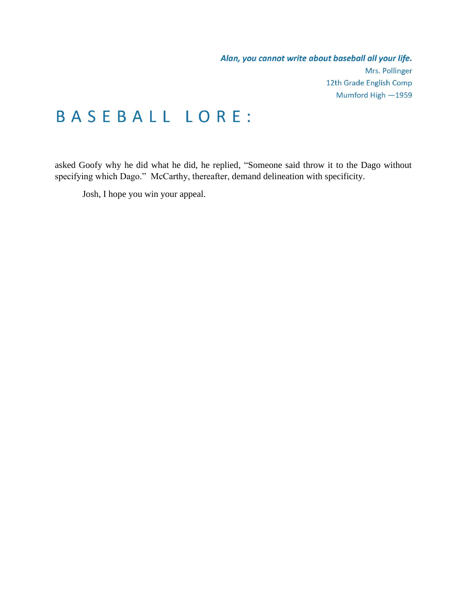Alan, you cannot write about baseball all your life. Mrs. Pollinger 12th Grade English Comp Mumford High -1959

## **BASEBALL LORE:**

asked Goofy why he did what he did, he replied, "Someone said throw it to the Dago without specifying which Dago." McCarthy, thereafter, demand delineation with specificity.

Josh, I hope you win your appeal.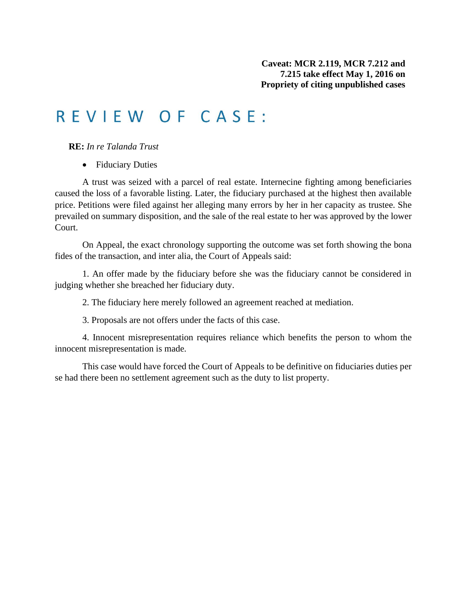## REVIEW OF CASE:

**RE:** *In re Talanda Trust*

• Fiduciary Duties

A trust was seized with a parcel of real estate. Internecine fighting among beneficiaries caused the loss of a favorable listing. Later, the fiduciary purchased at the highest then available price. Petitions were filed against her alleging many errors by her in her capacity as trustee. She prevailed on summary disposition, and the sale of the real estate to her was approved by the lower Court.

On Appeal, the exact chronology supporting the outcome was set forth showing the bona fides of the transaction, and inter alia, the Court of Appeals said:

1. An offer made by the fiduciary before she was the fiduciary cannot be considered in judging whether she breached her fiduciary duty.

2. The fiduciary here merely followed an agreement reached at mediation.

3. Proposals are not offers under the facts of this case.

4. Innocent misrepresentation requires reliance which benefits the person to whom the innocent misrepresentation is made.

This case would have forced the Court of Appeals to be definitive on fiduciaries duties per se had there been no settlement agreement such as the duty to list property.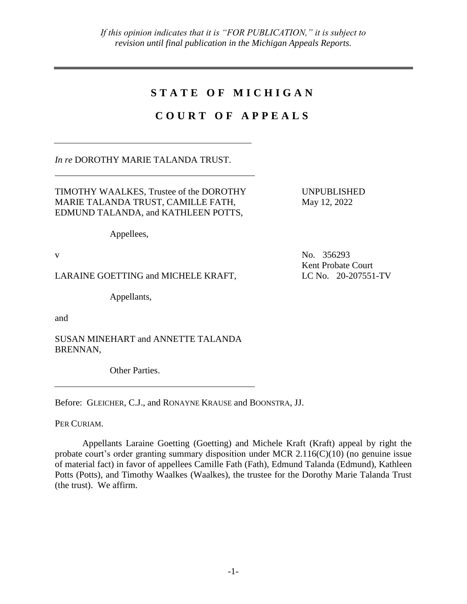## **S T A T E O F M I C H I G A N**

## **C O U R T O F A P P E A L S**

*In re* DOROTHY MARIE TALANDA TRUST.

TIMOTHY WAALKES, Trustee of the DOROTHY MARIE TALANDA TRUST, CAMILLE FATH, EDMUND TALANDA, and KATHLEEN POTTS,

Appellees,

LARAINE GOETTING and MICHELE KRAFT, LC No. 20-207551-TV

Appellants,

and

SUSAN MINEHART and ANNETTE TALANDA BRENNAN,

Other Parties.

Before: GLEICHER, C.J., and RONAYNE KRAUSE and BOONSTRA, JJ.

PER CURIAM.

Appellants Laraine Goetting (Goetting) and Michele Kraft (Kraft) appeal by right the probate court's order granting summary disposition under MCR 2.116(C)(10) (no genuine issue of material fact) in favor of appellees Camille Fath (Fath), Edmund Talanda (Edmund), Kathleen Potts (Potts), and Timothy Waalkes (Waalkes), the trustee for the Dorothy Marie Talanda Trust (the trust). We affirm.

v No. 356293 Kent Probate Court

UNPUBLISHED May 12, 2022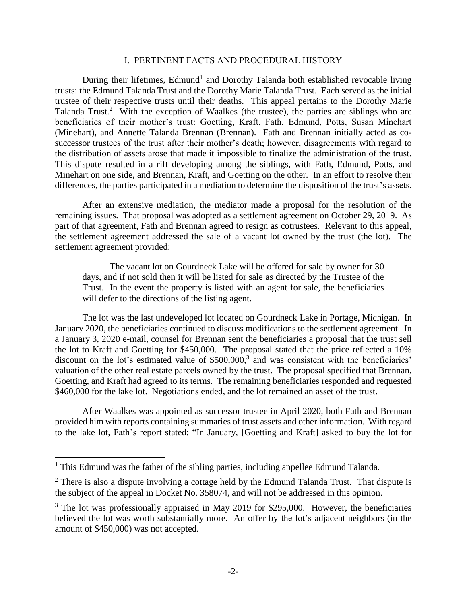### I. PERTINENT FACTS AND PROCEDURAL HISTORY

During their lifetimes, Edmund<sup>1</sup> and Dorothy Talanda both established revocable living trusts: the Edmund Talanda Trust and the Dorothy Marie Talanda Trust. Each served as the initial trustee of their respective trusts until their deaths. This appeal pertains to the Dorothy Marie Talanda Trust.<sup>2</sup> With the exception of Waalkes (the trustee), the parties are siblings who are beneficiaries of their mother's trust: Goetting, Kraft, Fath, Edmund, Potts, Susan Minehart (Minehart), and Annette Talanda Brennan (Brennan). Fath and Brennan initially acted as cosuccessor trustees of the trust after their mother's death; however, disagreements with regard to the distribution of assets arose that made it impossible to finalize the administration of the trust. This dispute resulted in a rift developing among the siblings, with Fath, Edmund, Potts, and Minehart on one side, and Brennan, Kraft, and Goetting on the other. In an effort to resolve their differences, the parties participated in a mediation to determine the disposition of the trust's assets.

After an extensive mediation, the mediator made a proposal for the resolution of the remaining issues. That proposal was adopted as a settlement agreement on October 29, 2019. As part of that agreement, Fath and Brennan agreed to resign as cotrustees. Relevant to this appeal, the settlement agreement addressed the sale of a vacant lot owned by the trust (the lot). The settlement agreement provided:

The vacant lot on Gourdneck Lake will be offered for sale by owner for 30 days, and if not sold then it will be listed for sale as directed by the Trustee of the Trust. In the event the property is listed with an agent for sale, the beneficiaries will defer to the directions of the listing agent.

The lot was the last undeveloped lot located on Gourdneck Lake in Portage, Michigan. In January 2020, the beneficiaries continued to discuss modifications to the settlement agreement. In a January 3, 2020 e-mail, counsel for Brennan sent the beneficiaries a proposal that the trust sell the lot to Kraft and Goetting for \$450,000. The proposal stated that the price reflected a 10% discount on the lot's estimated value of  $$500,000$ ,<sup>3</sup> and was consistent with the beneficiaries' valuation of the other real estate parcels owned by the trust. The proposal specified that Brennan, Goetting, and Kraft had agreed to its terms. The remaining beneficiaries responded and requested \$460,000 for the lake lot. Negotiations ended, and the lot remained an asset of the trust.

After Waalkes was appointed as successor trustee in April 2020, both Fath and Brennan provided him with reports containing summaries of trust assets and other information. With regard to the lake lot, Fath's report stated: "In January, [Goetting and Kraft] asked to buy the lot for

 $\overline{a}$ 

 $<sup>1</sup>$  This Edmund was the father of the sibling parties, including appellee Edmund Talanda.</sup>

 $2^2$  There is also a dispute involving a cottage held by the Edmund Talanda Trust. That dispute is the subject of the appeal in Docket No. 358074, and will not be addressed in this opinion.

 $3$  The lot was professionally appraised in May 2019 for \$295,000. However, the beneficiaries believed the lot was worth substantially more. An offer by the lot's adjacent neighbors (in the amount of \$450,000) was not accepted.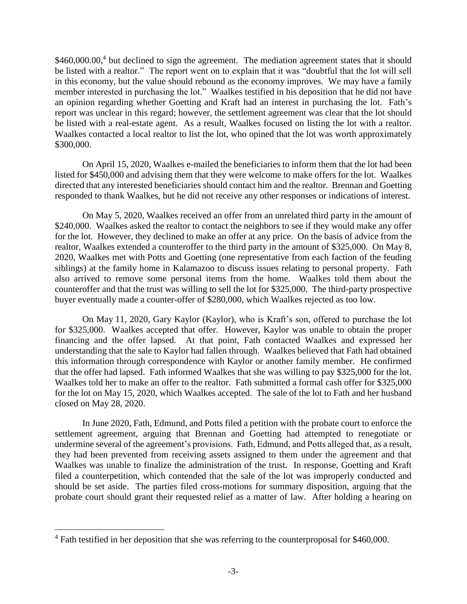\$460,000.00,<sup>4</sup> but declined to sign the agreement. The mediation agreement states that it should be listed with a realtor." The report went on to explain that it was "doubtful that the lot will sell in this economy, but the value should rebound as the economy improves. We may have a family member interested in purchasing the lot." Waalkes testified in his deposition that he did not have an opinion regarding whether Goetting and Kraft had an interest in purchasing the lot. Fath's report was unclear in this regard; however, the settlement agreement was clear that the lot should be listed with a real-estate agent. As a result, Waalkes focused on listing the lot with a realtor. Waalkes contacted a local realtor to list the lot, who opined that the lot was worth approximately \$300,000.

On April 15, 2020, Waalkes e-mailed the beneficiaries to inform them that the lot had been listed for \$450,000 and advising them that they were welcome to make offers for the lot. Waalkes directed that any interested beneficiaries should contact him and the realtor. Brennan and Goetting responded to thank Waalkes, but he did not receive any other responses or indications of interest.

On May 5, 2020, Waalkes received an offer from an unrelated third party in the amount of \$240,000. Waalkes asked the realtor to contact the neighbors to see if they would make any offer for the lot. However, they declined to make an offer at any price. On the basis of advice from the realtor, Waalkes extended a counteroffer to the third party in the amount of \$325,000. On May 8, 2020, Waalkes met with Potts and Goetting (one representative from each faction of the feuding siblings) at the family home in Kalamazoo to discuss issues relating to personal property. Fath also arrived to remove some personal items from the home. Waalkes told them about the counteroffer and that the trust was willing to sell the lot for \$325,000. The third-party prospective buyer eventually made a counter-offer of \$280,000, which Waalkes rejected as too low.

On May 11, 2020, Gary Kaylor (Kaylor), who is Kraft's son, offered to purchase the lot for \$325,000. Waalkes accepted that offer. However, Kaylor was unable to obtain the proper financing and the offer lapsed. At that point, Fath contacted Waalkes and expressed her understanding that the sale to Kaylor had fallen through. Waalkes believed that Fath had obtained this information through correspondence with Kaylor or another family member. He confirmed that the offer had lapsed. Fath informed Waalkes that she was willing to pay \$325,000 for the lot. Waalkes told her to make an offer to the realtor. Fath submitted a formal cash offer for \$325,000 for the lot on May 15, 2020, which Waalkes accepted. The sale of the lot to Fath and her husband closed on May 28, 2020.

In June 2020, Fath, Edmund, and Potts filed a petition with the probate court to enforce the settlement agreement, arguing that Brennan and Goetting had attempted to renegotiate or undermine several of the agreement's provisions. Fath, Edmund, and Potts alleged that, as a result, they had been prevented from receiving assets assigned to them under the agreement and that Waalkes was unable to finalize the administration of the trust. In response, Goetting and Kraft filed a counterpetition, which contended that the sale of the lot was improperly conducted and should be set aside. The parties filed cross-motions for summary disposition, arguing that the probate court should grant their requested relief as a matter of law. After holding a hearing on

 $\overline{a}$ 

<sup>&</sup>lt;sup>4</sup> Fath testified in her deposition that she was referring to the counterproposal for \$460,000.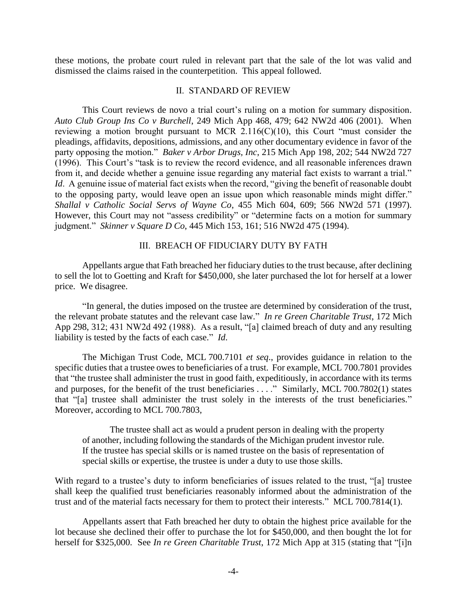these motions, the probate court ruled in relevant part that the sale of the lot was valid and dismissed the claims raised in the counterpetition. This appeal followed.

### II. STANDARD OF REVIEW

This Court reviews de novo a trial court's ruling on a motion for summary disposition. *Auto Club Group Ins Co v Burchell*, 249 Mich App 468, 479; 642 NW2d 406 (2001). When reviewing a motion brought pursuant to MCR 2.116(C)(10), this Court "must consider the pleadings, affidavits, depositions, admissions, and any other documentary evidence in favor of the party opposing the motion." *Baker v Arbor Drugs, Inc*, 215 Mich App 198, 202; 544 NW2d 727 (1996). This Court's "task is to review the record evidence, and all reasonable inferences drawn from it, and decide whether a genuine issue regarding any material fact exists to warrant a trial." *Id.* A genuine issue of material fact exists when the record, "giving the benefit of reasonable doubt to the opposing party, would leave open an issue upon which reasonable minds might differ." *Shallal v Catholic Social Servs of Wayne Co*, 455 Mich 604, 609; 566 NW2d 571 (1997). However, this Court may not "assess credibility" or "determine facts on a motion for summary judgment." *Skinner v Square D Co*, 445 Mich 153, 161; 516 NW2d 475 (1994).

### III. BREACH OF FIDUCIARY DUTY BY FATH

Appellants argue that Fath breached her fiduciary duties to the trust because, after declining to sell the lot to Goetting and Kraft for \$450,000, she later purchased the lot for herself at a lower price. We disagree.

"In general, the duties imposed on the trustee are determined by consideration of the trust, the relevant probate statutes and the relevant case law." *In re Green Charitable Trust*, 172 Mich App 298, 312; 431 NW2d 492 (1988). As a result, "[a] claimed breach of duty and any resulting liability is tested by the facts of each case." *Id*.

The Michigan Trust Code, MCL 700.7101 *et seq*., provides guidance in relation to the specific duties that a trustee owes to beneficiaries of a trust. For example, MCL 700.7801 provides that "the trustee shall administer the trust in good faith, expeditiously, in accordance with its terms and purposes, for the benefit of the trust beneficiaries . . . . " Similarly, MCL 700.7802(1) states that "[a] trustee shall administer the trust solely in the interests of the trust beneficiaries." Moreover, according to MCL 700.7803,

The trustee shall act as would a prudent person in dealing with the property of another, including following the standards of the Michigan prudent investor rule. If the trustee has special skills or is named trustee on the basis of representation of special skills or expertise, the trustee is under a duty to use those skills.

With regard to a trustee's duty to inform beneficiaries of issues related to the trust, "[a] trustee shall keep the qualified trust beneficiaries reasonably informed about the administration of the trust and of the material facts necessary for them to protect their interests." MCL 700.7814(1).

Appellants assert that Fath breached her duty to obtain the highest price available for the lot because she declined their offer to purchase the lot for \$450,000, and then bought the lot for herself for \$325,000. See *In re Green Charitable Trust*, 172 Mich App at 315 (stating that "[i]n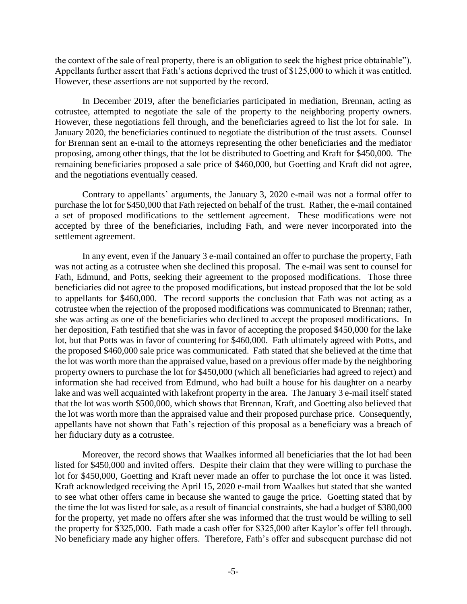the context of the sale of real property, there is an obligation to seek the highest price obtainable"). Appellants further assert that Fath's actions deprived the trust of \$125,000 to which it was entitled. However, these assertions are not supported by the record.

In December 2019, after the beneficiaries participated in mediation, Brennan, acting as cotrustee, attempted to negotiate the sale of the property to the neighboring property owners. However, these negotiations fell through, and the beneficiaries agreed to list the lot for sale. In January 2020, the beneficiaries continued to negotiate the distribution of the trust assets. Counsel for Brennan sent an e-mail to the attorneys representing the other beneficiaries and the mediator proposing, among other things, that the lot be distributed to Goetting and Kraft for \$450,000. The remaining beneficiaries proposed a sale price of \$460,000, but Goetting and Kraft did not agree, and the negotiations eventually ceased.

Contrary to appellants' arguments, the January 3, 2020 e-mail was not a formal offer to purchase the lot for \$450,000 that Fath rejected on behalf of the trust. Rather, the e-mail contained a set of proposed modifications to the settlement agreement. These modifications were not accepted by three of the beneficiaries, including Fath, and were never incorporated into the settlement agreement.

In any event, even if the January 3 e-mail contained an offer to purchase the property, Fath was not acting as a cotrustee when she declined this proposal. The e-mail was sent to counsel for Fath, Edmund, and Potts, seeking their agreement to the proposed modifications. Those three beneficiaries did not agree to the proposed modifications, but instead proposed that the lot be sold to appellants for \$460,000. The record supports the conclusion that Fath was not acting as a cotrustee when the rejection of the proposed modifications was communicated to Brennan; rather, she was acting as one of the beneficiaries who declined to accept the proposed modifications. In her deposition, Fath testified that she was in favor of accepting the proposed \$450,000 for the lake lot, but that Potts was in favor of countering for \$460,000. Fath ultimately agreed with Potts, and the proposed \$460,000 sale price was communicated. Fath stated that she believed at the time that the lot was worth more than the appraised value, based on a previous offer made by the neighboring property owners to purchase the lot for \$450,000 (which all beneficiaries had agreed to reject) and information she had received from Edmund, who had built a house for his daughter on a nearby lake and was well acquainted with lakefront property in the area. The January 3 e-mail itself stated that the lot was worth \$500,000, which shows that Brennan, Kraft, and Goetting also believed that the lot was worth more than the appraised value and their proposed purchase price. Consequently, appellants have not shown that Fath's rejection of this proposal as a beneficiary was a breach of her fiduciary duty as a cotrustee.

Moreover, the record shows that Waalkes informed all beneficiaries that the lot had been listed for \$450,000 and invited offers. Despite their claim that they were willing to purchase the lot for \$450,000, Goetting and Kraft never made an offer to purchase the lot once it was listed. Kraft acknowledged receiving the April 15, 2020 e-mail from Waalkes but stated that she wanted to see what other offers came in because she wanted to gauge the price. Goetting stated that by the time the lot was listed for sale, as a result of financial constraints, she had a budget of \$380,000 for the property, yet made no offers after she was informed that the trust would be willing to sell the property for \$325,000. Fath made a cash offer for \$325,000 after Kaylor's offer fell through. No beneficiary made any higher offers. Therefore, Fath's offer and subsequent purchase did not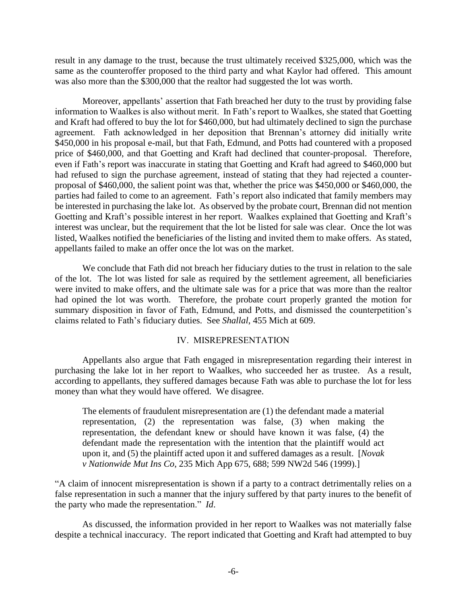result in any damage to the trust, because the trust ultimately received \$325,000, which was the same as the counteroffer proposed to the third party and what Kaylor had offered. This amount was also more than the \$300,000 that the realtor had suggested the lot was worth.

Moreover, appellants' assertion that Fath breached her duty to the trust by providing false information to Waalkes is also without merit. In Fath's report to Waalkes, she stated that Goetting and Kraft had offered to buy the lot for \$460,000, but had ultimately declined to sign the purchase agreement. Fath acknowledged in her deposition that Brennan's attorney did initially write \$450,000 in his proposal e-mail, but that Fath, Edmund, and Potts had countered with a proposed price of \$460,000, and that Goetting and Kraft had declined that counter-proposal. Therefore, even if Fath's report was inaccurate in stating that Goetting and Kraft had agreed to \$460,000 but had refused to sign the purchase agreement, instead of stating that they had rejected a counterproposal of \$460,000, the salient point was that, whether the price was \$450,000 or \$460,000, the parties had failed to come to an agreement. Fath's report also indicated that family members may be interested in purchasing the lake lot. As observed by the probate court, Brennan did not mention Goetting and Kraft's possible interest in her report. Waalkes explained that Goetting and Kraft's interest was unclear, but the requirement that the lot be listed for sale was clear. Once the lot was listed, Waalkes notified the beneficiaries of the listing and invited them to make offers. As stated, appellants failed to make an offer once the lot was on the market.

We conclude that Fath did not breach her fiduciary duties to the trust in relation to the sale of the lot. The lot was listed for sale as required by the settlement agreement, all beneficiaries were invited to make offers, and the ultimate sale was for a price that was more than the realtor had opined the lot was worth. Therefore, the probate court properly granted the motion for summary disposition in favor of Fath, Edmund, and Potts, and dismissed the counterpetition's claims related to Fath's fiduciary duties. See *Shallal*, 455 Mich at 609.

## IV. MISREPRESENTATION

Appellants also argue that Fath engaged in misrepresentation regarding their interest in purchasing the lake lot in her report to Waalkes, who succeeded her as trustee. As a result, according to appellants, they suffered damages because Fath was able to purchase the lot for less money than what they would have offered. We disagree.

The elements of fraudulent misrepresentation are (1) the defendant made a material representation, (2) the representation was false, (3) when making the representation, the defendant knew or should have known it was false, (4) the defendant made the representation with the intention that the plaintiff would act upon it, and (5) the plaintiff acted upon it and suffered damages as a result. [*Novak v Nationwide Mut Ins Co*, 235 Mich App 675, 688; 599 NW2d 546 (1999).]

"A claim of innocent misrepresentation is shown if a party to a contract detrimentally relies on a false representation in such a manner that the injury suffered by that party inures to the benefit of the party who made the representation." *Id*.

As discussed, the information provided in her report to Waalkes was not materially false despite a technical inaccuracy. The report indicated that Goetting and Kraft had attempted to buy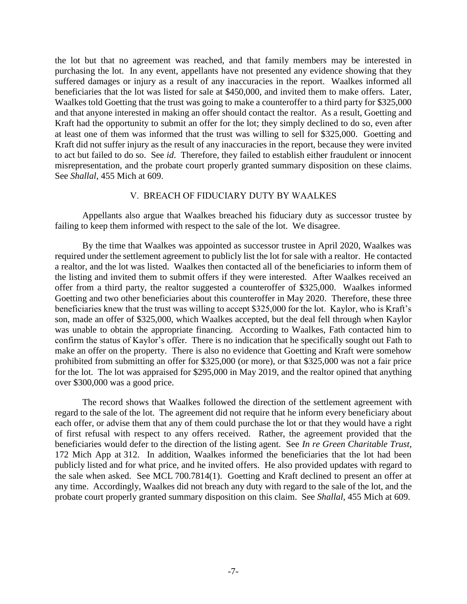the lot but that no agreement was reached, and that family members may be interested in purchasing the lot. In any event, appellants have not presented any evidence showing that they suffered damages or injury as a result of any inaccuracies in the report. Waalkes informed all beneficiaries that the lot was listed for sale at \$450,000, and invited them to make offers. Later, Waalkes told Goetting that the trust was going to make a counteroffer to a third party for \$325,000 and that anyone interested in making an offer should contact the realtor. As a result, Goetting and Kraft had the opportunity to submit an offer for the lot; they simply declined to do so, even after at least one of them was informed that the trust was willing to sell for \$325,000. Goetting and Kraft did not suffer injury as the result of any inaccuracies in the report, because they were invited to act but failed to do so. See *id*. Therefore, they failed to establish either fraudulent or innocent misrepresentation, and the probate court properly granted summary disposition on these claims. See *Shallal*, 455 Mich at 609.

## V. BREACH OF FIDUCIARY DUTY BY WAALKES

Appellants also argue that Waalkes breached his fiduciary duty as successor trustee by failing to keep them informed with respect to the sale of the lot. We disagree.

By the time that Waalkes was appointed as successor trustee in April 2020, Waalkes was required under the settlement agreement to publicly list the lot for sale with a realtor. He contacted a realtor, and the lot was listed. Waalkes then contacted all of the beneficiaries to inform them of the listing and invited them to submit offers if they were interested. After Waalkes received an offer from a third party, the realtor suggested a counteroffer of \$325,000. Waalkes informed Goetting and two other beneficiaries about this counteroffer in May 2020. Therefore, these three beneficiaries knew that the trust was willing to accept \$325,000 for the lot. Kaylor, who is Kraft's son, made an offer of \$325,000, which Waalkes accepted, but the deal fell through when Kaylor was unable to obtain the appropriate financing. According to Waalkes, Fath contacted him to confirm the status of Kaylor's offer. There is no indication that he specifically sought out Fath to make an offer on the property. There is also no evidence that Goetting and Kraft were somehow prohibited from submitting an offer for \$325,000 (or more), or that \$325,000 was not a fair price for the lot. The lot was appraised for \$295,000 in May 2019, and the realtor opined that anything over \$300,000 was a good price.

The record shows that Waalkes followed the direction of the settlement agreement with regard to the sale of the lot. The agreement did not require that he inform every beneficiary about each offer, or advise them that any of them could purchase the lot or that they would have a right of first refusal with respect to any offers received. Rather, the agreement provided that the beneficiaries would defer to the direction of the listing agent. See *In re Green Charitable Trust*, 172 Mich App at 312. In addition, Waalkes informed the beneficiaries that the lot had been publicly listed and for what price, and he invited offers. He also provided updates with regard to the sale when asked. See MCL 700.7814(1). Goetting and Kraft declined to present an offer at any time. Accordingly, Waalkes did not breach any duty with regard to the sale of the lot, and the probate court properly granted summary disposition on this claim. See *Shallal*, 455 Mich at 609.